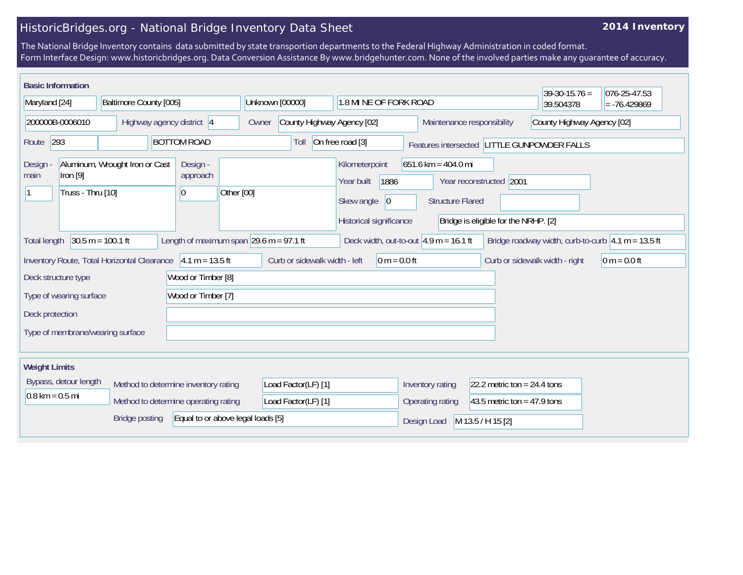## HistoricBridges.org - National Bridge Inventory Data Sheet

## **2014 Inventory**

The National Bridge Inventory contains data submitted by state transportion departments to the Federal Highway Administration in coded format. Form Interface Design: www.historicbridges.org. Data Conversion Assistance By www.bridgehunter.com. None of the involved parties make any guarantee of accuracy.

|                                                                                                                                                                                                     | <b>Basic Information</b><br>$39-30-15.76 =$<br>076-25-47.53 |                           |                    |                                                             |                                                 |                            |                                                                                              |                                                                                                                     |                               |           |                            |  |
|-----------------------------------------------------------------------------------------------------------------------------------------------------------------------------------------------------|-------------------------------------------------------------|---------------------------|--------------------|-------------------------------------------------------------|-------------------------------------------------|----------------------------|----------------------------------------------------------------------------------------------|---------------------------------------------------------------------------------------------------------------------|-------------------------------|-----------|----------------------------|--|
| Maryland [24]                                                                                                                                                                                       |                                                             | Baltimore County [005]    |                    |                                                             |                                                 | Unknown [00000]            | 1.8 MI NE OF FORK ROAD                                                                       |                                                                                                                     |                               | 39.504378 | $= -76.429869$             |  |
| 200000B-0006010                                                                                                                                                                                     |                                                             | Highway agency district 4 |                    |                                                             | Owner                                           | County Highway Agency [02] |                                                                                              |                                                                                                                     | Maintenance responsibility    |           | County Highway Agency [02] |  |
| 293<br>Route                                                                                                                                                                                        |                                                             |                           | <b>BOTTOM ROAD</b> |                                                             | Toll                                            | On free road [3]           |                                                                                              | Features intersected LITTLE GUNPOWDER FALLS                                                                         |                               |           |                            |  |
| Aluminum, Wrought Iron or Cast<br><b>Design</b><br>Iron $[9]$<br>main<br>Truss - Thru [10]                                                                                                          |                                                             |                           |                    | Design -<br>approach<br>10                                  | Other [00]                                      |                            | Kilometerpoint<br>1886<br>Year built<br>Skew angle<br>$ 0\rangle$<br>Historical significance | $651.6$ km = 404.0 mi<br>Year reconstructed 2001<br><b>Structure Flared</b><br>Bridge is eligible for the NRHP. [2] |                               |           |                            |  |
| $30.5 m = 100.1 ft$<br>Length of maximum span $\sqrt{29.6}$ m = 97.1 ft<br>Deck width, out-to-out $4.9$ m = 16.1 ft<br>Bridge roadway width, curb-to-curb $ 4.1 m = 13.5 ft$<br><b>Total length</b> |                                                             |                           |                    |                                                             |                                                 |                            |                                                                                              |                                                                                                                     |                               |           |                            |  |
| Inventory Route, Total Horizontal Clearance 4.1 m = 13.5 ft                                                                                                                                         |                                                             |                           |                    |                                                             | Curb or sidewalk width - left<br>$0 m = 0.0 ft$ |                            |                                                                                              | Curb or sidewalk width - right                                                                                      | $0 m = 0.0 ft$                |           |                            |  |
| Wood or Timber [8]<br>Deck structure type                                                                                                                                                           |                                                             |                           |                    |                                                             |                                                 |                            |                                                                                              |                                                                                                                     |                               |           |                            |  |
| Wood or Timber [7]<br>Type of wearing surface                                                                                                                                                       |                                                             |                           |                    |                                                             |                                                 |                            |                                                                                              |                                                                                                                     |                               |           |                            |  |
| Deck protection                                                                                                                                                                                     |                                                             |                           |                    |                                                             |                                                 |                            |                                                                                              |                                                                                                                     |                               |           |                            |  |
| Type of membrane/wearing surface                                                                                                                                                                    |                                                             |                           |                    |                                                             |                                                 |                            |                                                                                              |                                                                                                                     |                               |           |                            |  |
| <b>Weight Limits</b>                                                                                                                                                                                |                                                             |                           |                    |                                                             |                                                 |                            |                                                                                              |                                                                                                                     |                               |           |                            |  |
| Bypass, detour length<br>Method to determine inventory rating<br>$0.8 \text{ km} = 0.5 \text{ mi}$                                                                                                  |                                                             |                           |                    |                                                             |                                                 | Load Factor(LF) [1]        |                                                                                              | Inventory rating                                                                                                    | 22.2 metric ton = $24.4$ tons |           |                            |  |
|                                                                                                                                                                                                     |                                                             |                           |                    | Method to determine operating rating<br>Load Factor(LF) [1] |                                                 |                            |                                                                                              | 43.5 metric ton = 47.9 tons<br>Operating rating                                                                     |                               |           |                            |  |
| <b>Bridge posting</b><br>Equal to or above legal loads [5]                                                                                                                                          |                                                             |                           |                    |                                                             |                                                 |                            | M 13.5 / H 15 [2]                                                                            |                                                                                                                     |                               |           |                            |  |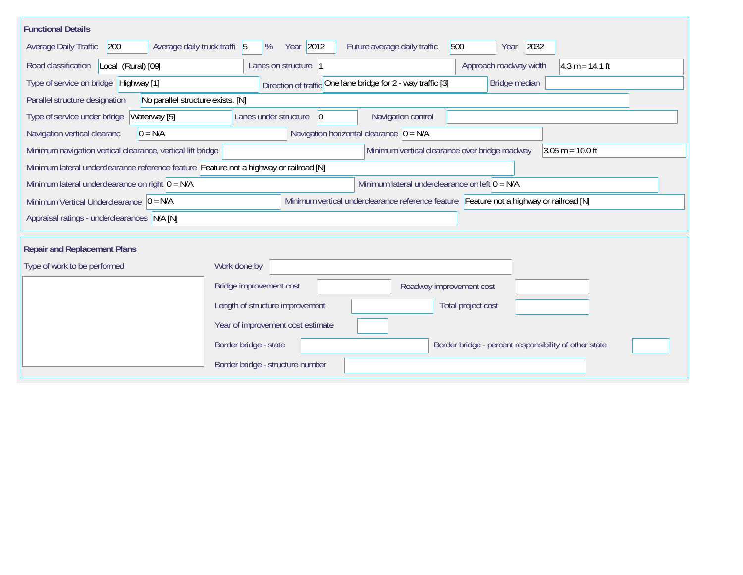| <b>Functional Details</b>                                                               |                                                                                         |  |  |  |  |  |  |  |
|-----------------------------------------------------------------------------------------|-----------------------------------------------------------------------------------------|--|--|--|--|--|--|--|
| 200<br>Average daily truck traffi $ 5 $<br>Average Daily Traffic                        | 2032<br>Year 2012<br>Future average daily traffic<br>500<br>%<br>Year                   |  |  |  |  |  |  |  |
| Local (Rural) [09]<br>Road classification                                               | Lanes on structure 1<br>Approach roadway width<br>$4.3 m = 14.1 ft$                     |  |  |  |  |  |  |  |
| Type of service on bridge Highway [1]                                                   | Direction of traffic One lane bridge for 2 - way traffic [3]<br>Bridge median           |  |  |  |  |  |  |  |
| No parallel structure exists. [N]<br>Parallel structure designation                     |                                                                                         |  |  |  |  |  |  |  |
| Type of service under bridge<br>Waterway [5]                                            | Navigation control<br>Lanes under structure<br>$ 0\rangle$                              |  |  |  |  |  |  |  |
| Navigation horizontal clearance $ 0 = N/A$<br>$0 = N/A$<br>Navigation vertical clearanc |                                                                                         |  |  |  |  |  |  |  |
| Minimum navigation vertical clearance, vertical lift bridge                             | Minimum vertical clearance over bridge roadway<br>$3.05 m = 10.0 ft$                    |  |  |  |  |  |  |  |
| Minimum lateral underclearance reference feature Feature not a highway or railroad [N]  |                                                                                         |  |  |  |  |  |  |  |
| Minimum lateral underclearance on right $0 = N/A$                                       | Minimum lateral underclearance on left $0 = N/A$                                        |  |  |  |  |  |  |  |
| Minimum Vertical Underclearance $ 0 = N/A $                                             | Minimum vertical underclearance reference feature Feature not a highway or railroad [N] |  |  |  |  |  |  |  |
| Appraisal ratings - underclearances N/A [N]                                             |                                                                                         |  |  |  |  |  |  |  |
|                                                                                         |                                                                                         |  |  |  |  |  |  |  |
| <b>Repair and Replacement Plans</b>                                                     |                                                                                         |  |  |  |  |  |  |  |
| Type of work to be performed                                                            | Work done by                                                                            |  |  |  |  |  |  |  |
|                                                                                         | Bridge improvement cost<br>Roadway improvement cost                                     |  |  |  |  |  |  |  |
|                                                                                         | Length of structure improvement<br>Total project cost                                   |  |  |  |  |  |  |  |
|                                                                                         | Year of improvement cost estimate                                                       |  |  |  |  |  |  |  |
|                                                                                         | Border bridge - state<br>Border bridge - percent responsibility of other state          |  |  |  |  |  |  |  |
|                                                                                         | Border bridge - structure number                                                        |  |  |  |  |  |  |  |